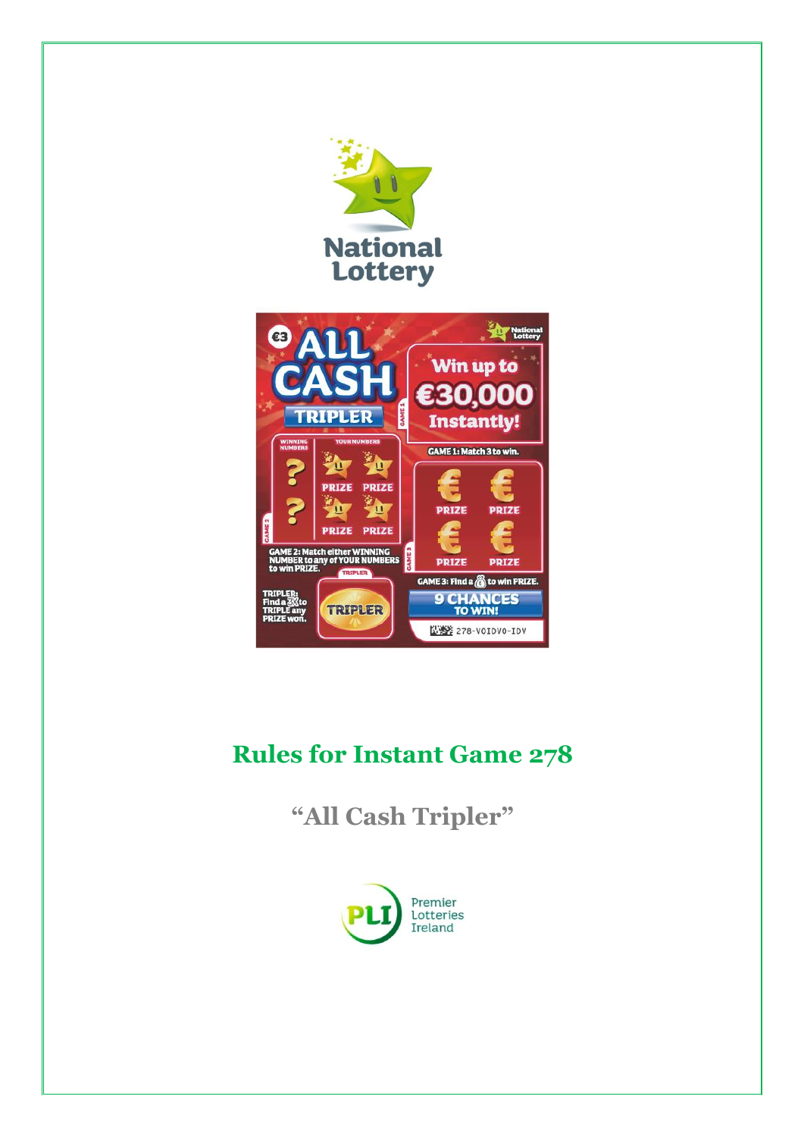

# **Rules for Instant Game 278**

**"All Cash Tripler"**

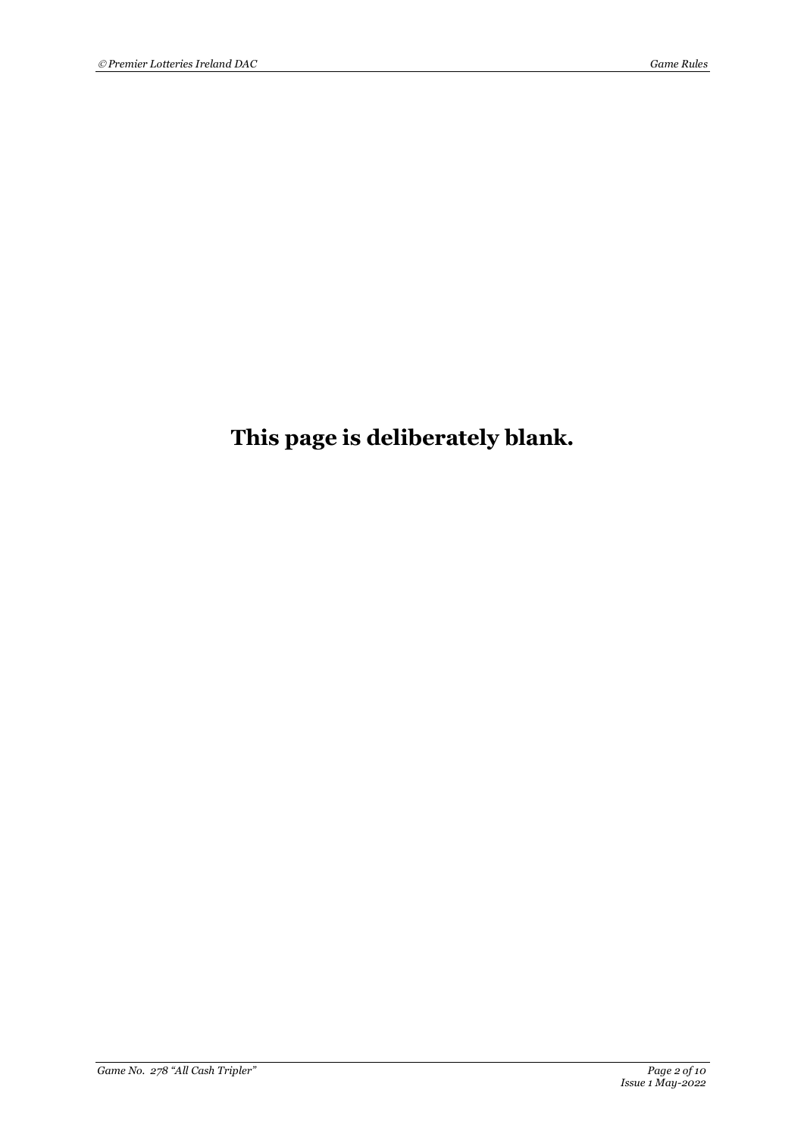# **This page is deliberately blank.**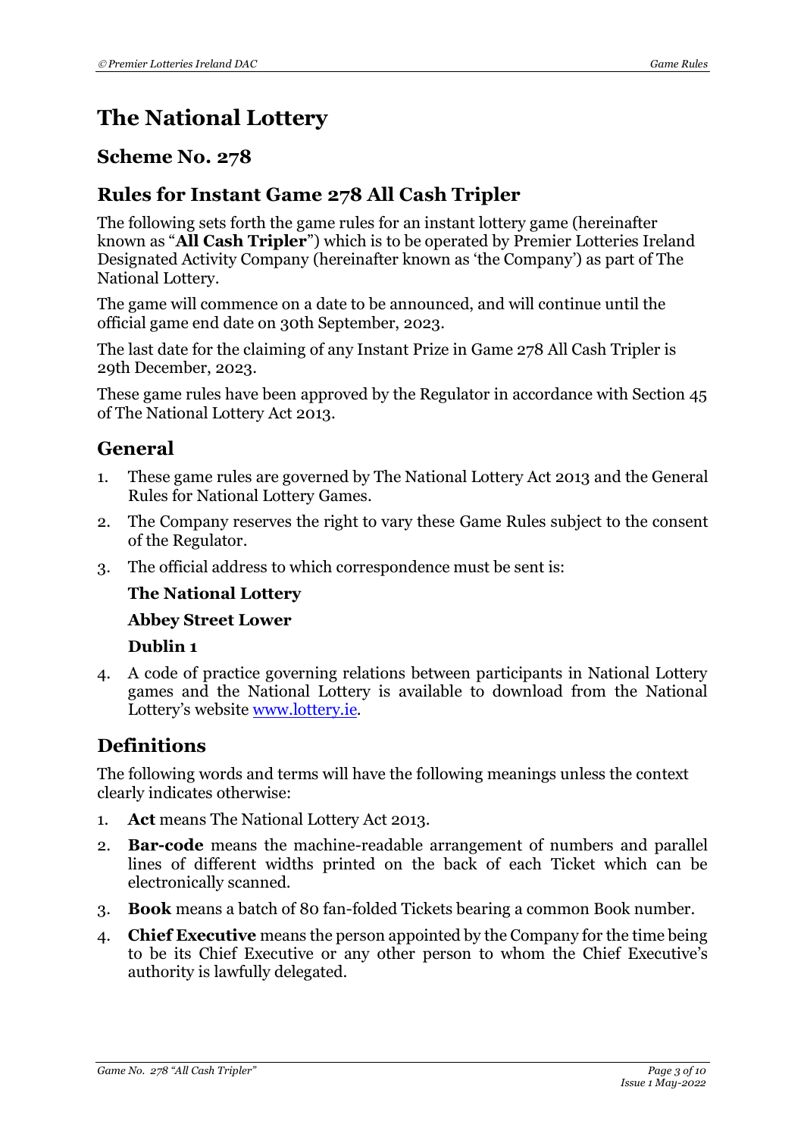# **The National Lottery**

### **Scheme No. 278**

### **Rules for Instant Game 278 All Cash Tripler**

The following sets forth the game rules for an instant lottery game (hereinafter known as "**All Cash Tripler**") which is to be operated by Premier Lotteries Ireland Designated Activity Company (hereinafter known as 'the Company') as part of The National Lottery.

The game will commence on a date to be announced, and will continue until the official game end date on 30th September, 2023.

The last date for the claiming of any Instant Prize in Game 278 All Cash Tripler is 29th December, 2023.

These game rules have been approved by the Regulator in accordance with Section 45 of The National Lottery Act 2013.

# **General**

- 1. These game rules are governed by The National Lottery Act 2013 and the General Rules for National Lottery Games.
- 2. The Company reserves the right to vary these Game Rules subject to the consent of the Regulator.
- 3. The official address to which correspondence must be sent is:

#### **The National Lottery**

#### **Abbey Street Lower**

#### **Dublin 1**

4. A code of practice governing relations between participants in National Lottery games and the National Lottery is available to download from the National Lottery's website [www.lottery.ie.](http://www.lottery.ie/)

### **Definitions**

The following words and terms will have the following meanings unless the context clearly indicates otherwise:

- 1. **Act** means The National Lottery Act 2013.
- 2. **Bar-code** means the machine-readable arrangement of numbers and parallel lines of different widths printed on the back of each Ticket which can be electronically scanned.
- 3. **Book** means a batch of 80 fan-folded Tickets bearing a common Book number.
- 4. **Chief Executive** means the person appointed by the Company for the time being to be its Chief Executive or any other person to whom the Chief Executive's authority is lawfully delegated.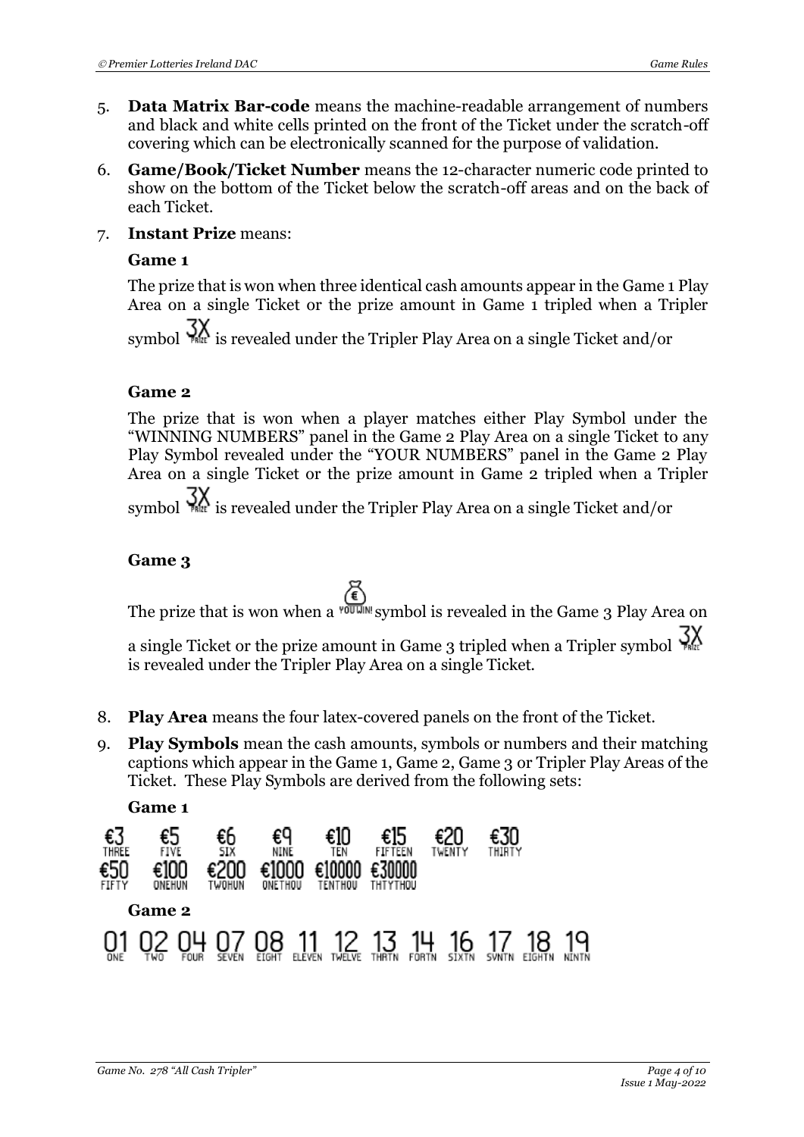- 5. **Data Matrix Bar-code** means the machine-readable arrangement of numbers and black and white cells printed on the front of the Ticket under the scratch-off covering which can be electronically scanned for the purpose of validation.
- 6. **Game/Book/Ticket Number** means the 12-character numeric code printed to show on the bottom of the Ticket below the scratch-off areas and on the back of each Ticket.
- 7. **Instant Prize** means:

#### **Game 1**

The prize that is won when three identical cash amounts appear in the Game 1 Play Area on a single Ticket or the prize amount in Game 1 tripled when a Tripler

symbol is revealed under the Tripler Play Area on a single Ticket and/or

#### **Game 2**

The prize that is won when a player matches either Play Symbol under the "WINNING NUMBERS" panel in the Game 2 Play Area on a single Ticket to any Play Symbol revealed under the "YOUR NUMBERS" panel in the Game 2 Play Area on a single Ticket or the prize amount in Game 2 tripled when a Tripler

symbol is revealed under the Tripler Play Area on a single Ticket and/or

#### **Game 3**

The prize that is won when a <sup>vournm</sup> symbol is revealed in the Game 3 Play Area on

a single Ticket or the prize amount in Game 3 tripled when a Tripler symbol is revealed under the Tripler Play Area on a single Ticket.

- 8. **Play Area** means the four latex-covered panels on the front of the Ticket.
- 9. **Play Symbols** mean the cash amounts, symbols or numbers and their matching captions which appear in the Game 1, Game 2, Game 3 or Tripler Play Areas of the Ticket. These Play Symbols are derived from the following sets:

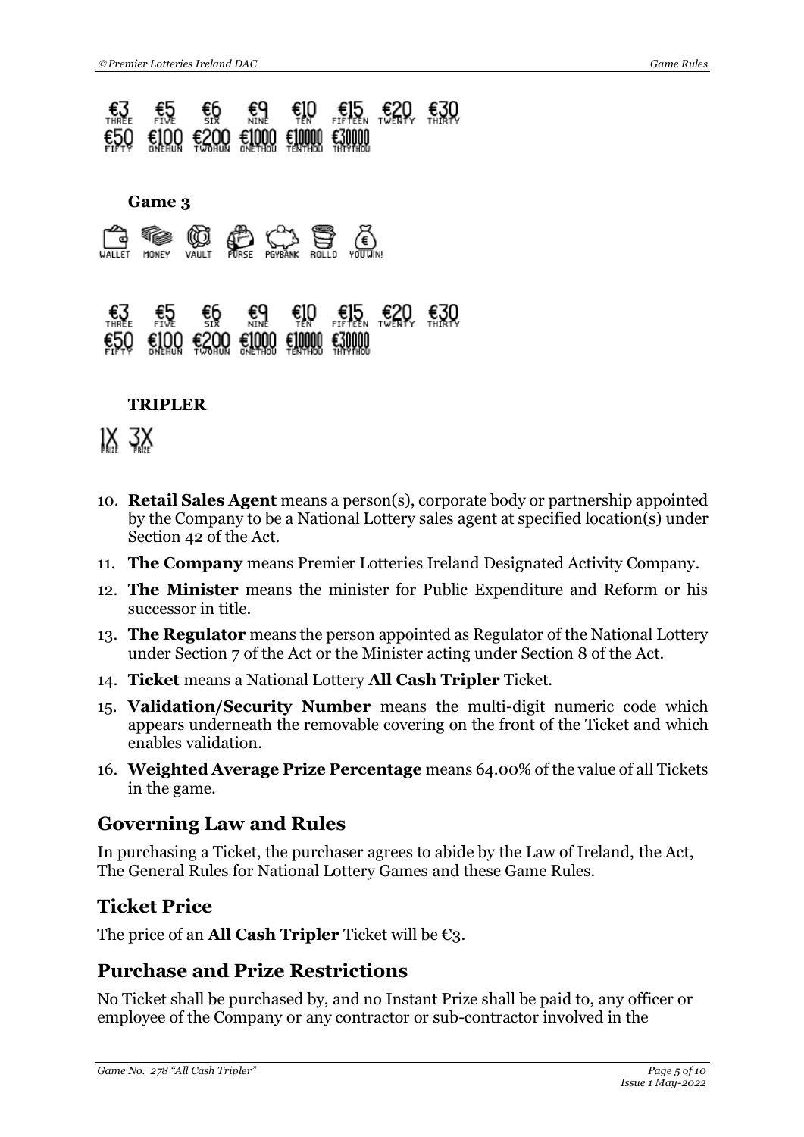

**Game 3**



#### $\epsilon$ 9  $\epsilon$ 10  $\epsilon$ 15  $\epsilon$ 20  $\epsilon$ 30 £3. €5 €Ģ €50 €100 €200 €1000 €1000 €3000

#### **TRIPLER**

IX 3X

- 10. **Retail Sales Agent** means a person(s), corporate body or partnership appointed by the Company to be a National Lottery sales agent at specified location(s) under Section 42 of the Act.
- 11. **The Company** means Premier Lotteries Ireland Designated Activity Company.
- 12. **The Minister** means the minister for Public Expenditure and Reform or his successor in title.
- 13. **The Regulator** means the person appointed as Regulator of the National Lottery under Section 7 of the Act or the Minister acting under Section 8 of the Act.
- 14. **Ticket** means a National Lottery **All Cash Tripler** Ticket.
- 15. **Validation/Security Number** means the multi-digit numeric code which appears underneath the removable covering on the front of the Ticket and which enables validation.
- 16. **Weighted Average Prize Percentage** means 64.00% of the value of all Tickets in the game.

#### **Governing Law and Rules**

In purchasing a Ticket, the purchaser agrees to abide by the Law of Ireland, the Act, The General Rules for National Lottery Games and these Game Rules.

### **Ticket Price**

The price of an **All Cash Tripler** Ticket will be €3.

#### **Purchase and Prize Restrictions**

No Ticket shall be purchased by, and no Instant Prize shall be paid to, any officer or employee of the Company or any contractor or sub-contractor involved in the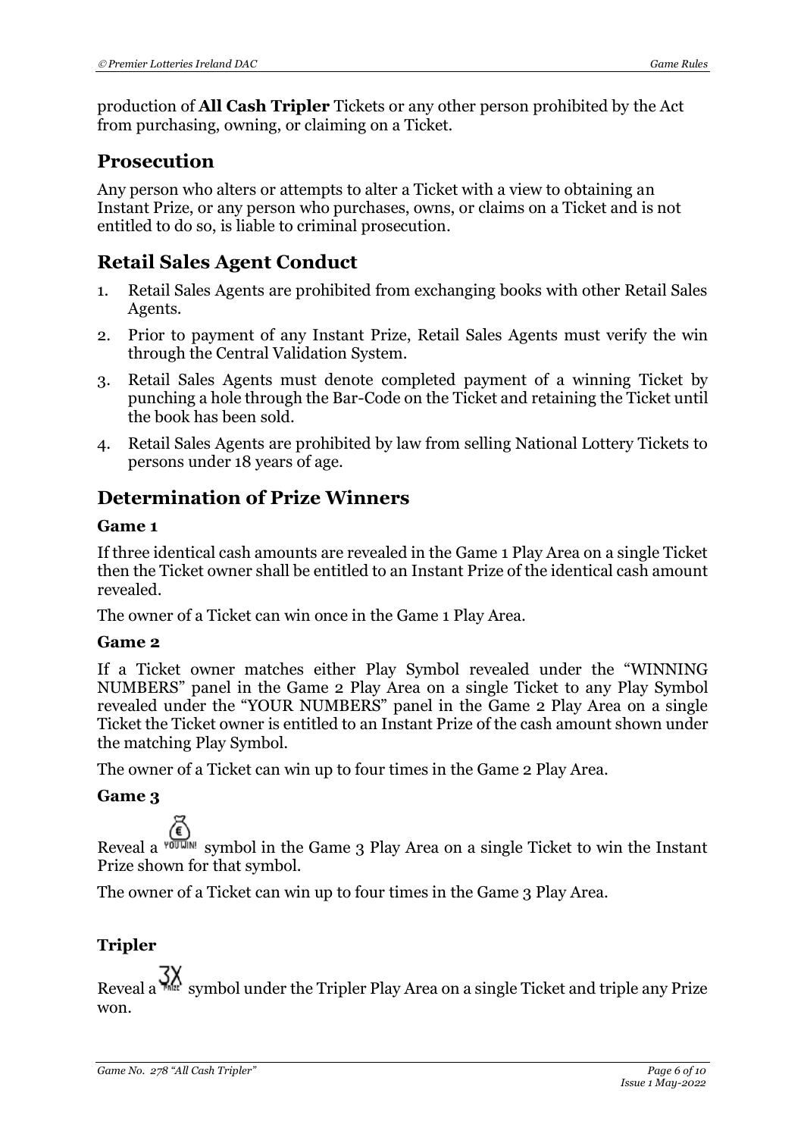production of **All Cash Tripler** Tickets or any other person prohibited by the Act from purchasing, owning, or claiming on a Ticket.

#### **Prosecution**

Any person who alters or attempts to alter a Ticket with a view to obtaining an Instant Prize, or any person who purchases, owns, or claims on a Ticket and is not entitled to do so, is liable to criminal prosecution.

# **Retail Sales Agent Conduct**

- 1. Retail Sales Agents are prohibited from exchanging books with other Retail Sales Agents.
- 2. Prior to payment of any Instant Prize, Retail Sales Agents must verify the win through the Central Validation System.
- 3. Retail Sales Agents must denote completed payment of a winning Ticket by punching a hole through the Bar-Code on the Ticket and retaining the Ticket until the book has been sold.
- 4. Retail Sales Agents are prohibited by law from selling National Lottery Tickets to persons under 18 years of age.

# **Determination of Prize Winners**

#### **Game 1**

If three identical cash amounts are revealed in the Game 1 Play Area on a single Ticket then the Ticket owner shall be entitled to an Instant Prize of the identical cash amount revealed.

The owner of a Ticket can win once in the Game 1 Play Area.

#### **Game 2**

If a Ticket owner matches either Play Symbol revealed under the "WINNING NUMBERS" panel in the Game 2 Play Area on a single Ticket to any Play Symbol revealed under the "YOUR NUMBERS" panel in the Game 2 Play Area on a single Ticket the Ticket owner is entitled to an Instant Prize of the cash amount shown under the matching Play Symbol.

The owner of a Ticket can win up to four times in the Game 2 Play Area.

#### **Game 3**

∕€` Reveal a <sup>volum</sup> symbol in the Game 3 Play Area on a single Ticket to win the Instant Prize shown for that symbol.

The owner of a Ticket can win up to four times in the Game 3 Play Area.

#### **Tripler**

Reveal a symbol under the Tripler Play Area on a single Ticket and triple any Prize won.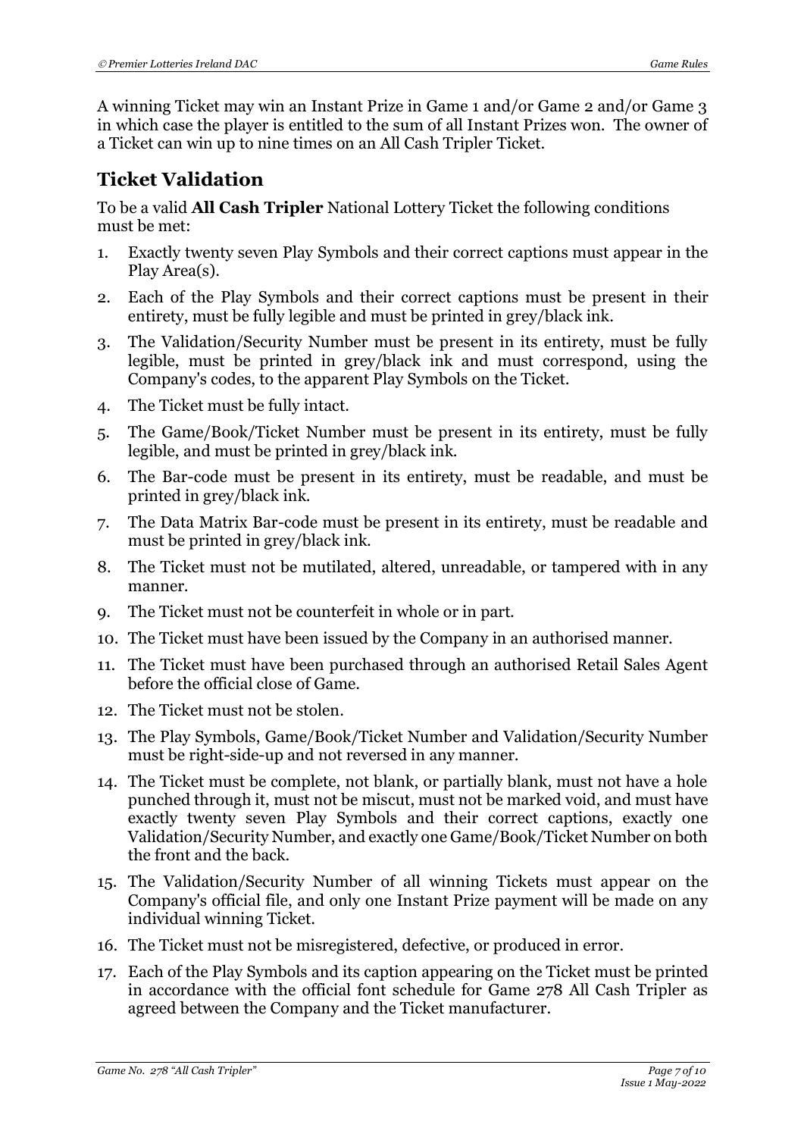A winning Ticket may win an Instant Prize in Game 1 and/or Game 2 and/or Game 3 in which case the player is entitled to the sum of all Instant Prizes won. The owner of a Ticket can win up to nine times on an All Cash Tripler Ticket.

# **Ticket Validation**

To be a valid **All Cash Tripler** National Lottery Ticket the following conditions must be met:

- 1. Exactly twenty seven Play Symbols and their correct captions must appear in the Play Area(s).
- 2. Each of the Play Symbols and their correct captions must be present in their entirety, must be fully legible and must be printed in grey/black ink.
- 3. The Validation/Security Number must be present in its entirety, must be fully legible, must be printed in grey/black ink and must correspond, using the Company's codes, to the apparent Play Symbols on the Ticket.
- 4. The Ticket must be fully intact.
- 5. The Game/Book/Ticket Number must be present in its entirety, must be fully legible, and must be printed in grey/black ink.
- 6. The Bar-code must be present in its entirety, must be readable, and must be printed in grey/black ink.
- 7. The Data Matrix Bar-code must be present in its entirety, must be readable and must be printed in grey/black ink.
- 8. The Ticket must not be mutilated, altered, unreadable, or tampered with in any manner.
- 9. The Ticket must not be counterfeit in whole or in part.
- 10. The Ticket must have been issued by the Company in an authorised manner.
- 11. The Ticket must have been purchased through an authorised Retail Sales Agent before the official close of Game.
- 12. The Ticket must not be stolen.
- 13. The Play Symbols, Game/Book/Ticket Number and Validation/Security Number must be right-side-up and not reversed in any manner.
- 14. The Ticket must be complete, not blank, or partially blank, must not have a hole punched through it, must not be miscut, must not be marked void, and must have exactly twenty seven Play Symbols and their correct captions, exactly one Validation/Security Number, and exactly one Game/Book/Ticket Number on both the front and the back.
- 15. The Validation/Security Number of all winning Tickets must appear on the Company's official file, and only one Instant Prize payment will be made on any individual winning Ticket.
- 16. The Ticket must not be misregistered, defective, or produced in error.
- 17. Each of the Play Symbols and its caption appearing on the Ticket must be printed in accordance with the official font schedule for Game 278 All Cash Tripler as agreed between the Company and the Ticket manufacturer.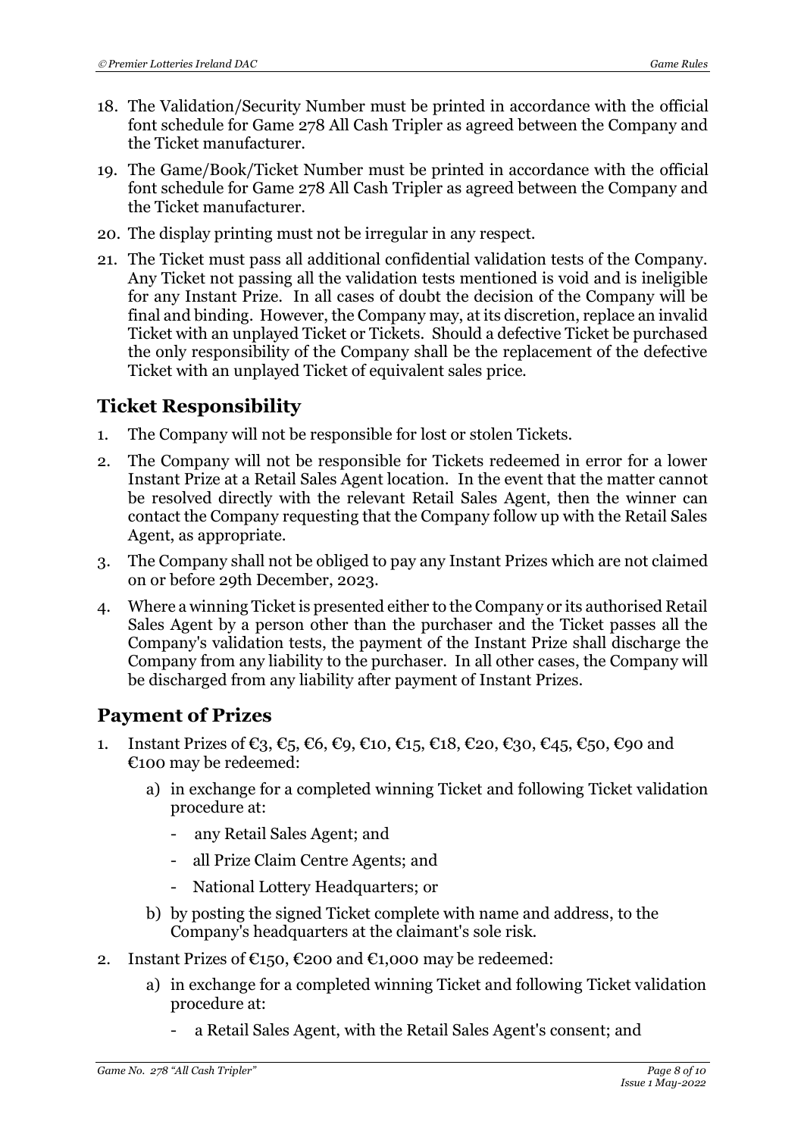- 18. The Validation/Security Number must be printed in accordance with the official font schedule for Game 278 All Cash Tripler as agreed between the Company and the Ticket manufacturer.
- 19. The Game/Book/Ticket Number must be printed in accordance with the official font schedule for Game 278 All Cash Tripler as agreed between the Company and the Ticket manufacturer.
- 20. The display printing must not be irregular in any respect.
- 21. The Ticket must pass all additional confidential validation tests of the Company. Any Ticket not passing all the validation tests mentioned is void and is ineligible for any Instant Prize. In all cases of doubt the decision of the Company will be final and binding. However, the Company may, at its discretion, replace an invalid Ticket with an unplayed Ticket or Tickets. Should a defective Ticket be purchased the only responsibility of the Company shall be the replacement of the defective Ticket with an unplayed Ticket of equivalent sales price.

# **Ticket Responsibility**

- 1. The Company will not be responsible for lost or stolen Tickets.
- 2. The Company will not be responsible for Tickets redeemed in error for a lower Instant Prize at a Retail Sales Agent location. In the event that the matter cannot be resolved directly with the relevant Retail Sales Agent, then the winner can contact the Company requesting that the Company follow up with the Retail Sales Agent, as appropriate.
- 3. The Company shall not be obliged to pay any Instant Prizes which are not claimed on or before 29th December, 2023.
- 4. Where a winning Ticket is presented either to the Company or its authorised Retail Sales Agent by a person other than the purchaser and the Ticket passes all the Company's validation tests, the payment of the Instant Prize shall discharge the Company from any liability to the purchaser. In all other cases, the Company will be discharged from any liability after payment of Instant Prizes.

### **Payment of Prizes**

- 1. Instant Prizes of  $\mathfrak{C}_3$ ,  $\mathfrak{C}_5$ ,  $\mathfrak{C}_6$ ,  $\mathfrak{C}_9$ ,  $\mathfrak{C}_{10}$ ,  $\mathfrak{C}_{15}$ ,  $\mathfrak{C}_{18}$ ,  $\mathfrak{C}_{20}$ ,  $\mathfrak{C}_{30}$ ,  $\mathfrak{C}_{45}$ ,  $\mathfrak{C}_{50}$ ,  $\mathfrak{C}_{90}$  and €100 may be redeemed:
	- a) in exchange for a completed winning Ticket and following Ticket validation procedure at:
		- any Retail Sales Agent; and
		- all Prize Claim Centre Agents; and
		- National Lottery Headquarters; or
	- b) by posting the signed Ticket complete with name and address, to the Company's headquarters at the claimant's sole risk.
- 2. Instant Prizes of  $\epsilon$ 150,  $\epsilon$ 200 and  $\epsilon$ 1,000 may be redeemed:
	- a) in exchange for a completed winning Ticket and following Ticket validation procedure at:
		- a Retail Sales Agent, with the Retail Sales Agent's consent; and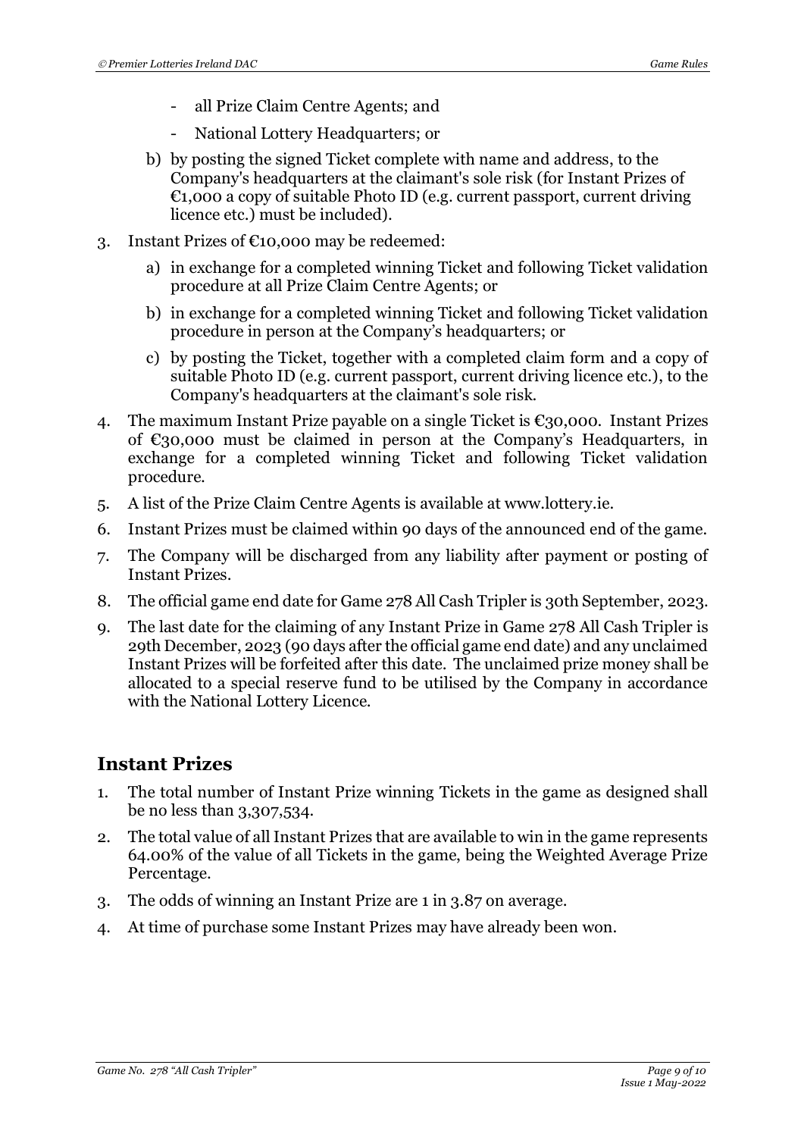- all Prize Claim Centre Agents; and
- National Lottery Headquarters; or
- b) by posting the signed Ticket complete with name and address, to the Company's headquarters at the claimant's sole risk (for Instant Prizes of  $\epsilon$ 1,000 a copy of suitable Photo ID (e.g. current passport, current driving licence etc.) must be included).
- 3. Instant Prizes of €10,000 may be redeemed:
	- a) in exchange for a completed winning Ticket and following Ticket validation procedure at all Prize Claim Centre Agents; or
	- b) in exchange for a completed winning Ticket and following Ticket validation procedure in person at the Company's headquarters; or
	- c) by posting the Ticket, together with a completed claim form and a copy of suitable Photo ID (e.g. current passport, current driving licence etc.), to the Company's headquarters at the claimant's sole risk.
- 4. The maximum Instant Prize payable on a single Ticket is  $\epsilon$ 30,000. Instant Prizes of €30,000 must be claimed in person at the Company's Headquarters, in exchange for a completed winning Ticket and following Ticket validation procedure.
- 5. A list of the Prize Claim Centre Agents is available at www.lottery.ie.
- 6. Instant Prizes must be claimed within 90 days of the announced end of the game.
- 7. The Company will be discharged from any liability after payment or posting of Instant Prizes.
- 8. The official game end date for Game 278 All Cash Tripler is 30th September, 2023.
- 9. The last date for the claiming of any Instant Prize in Game 278 All Cash Tripler is 29th December, 2023 (90 days after the official game end date) and any unclaimed Instant Prizes will be forfeited after this date. The unclaimed prize money shall be allocated to a special reserve fund to be utilised by the Company in accordance with the National Lottery Licence.

### **Instant Prizes**

- 1. The total number of Instant Prize winning Tickets in the game as designed shall be no less than 3,307,534.
- 2. The total value of all Instant Prizes that are available to win in the game represents 64.00% of the value of all Tickets in the game, being the Weighted Average Prize Percentage.
- 3. The odds of winning an Instant Prize are 1 in 3.87 on average.
- 4. At time of purchase some Instant Prizes may have already been won.